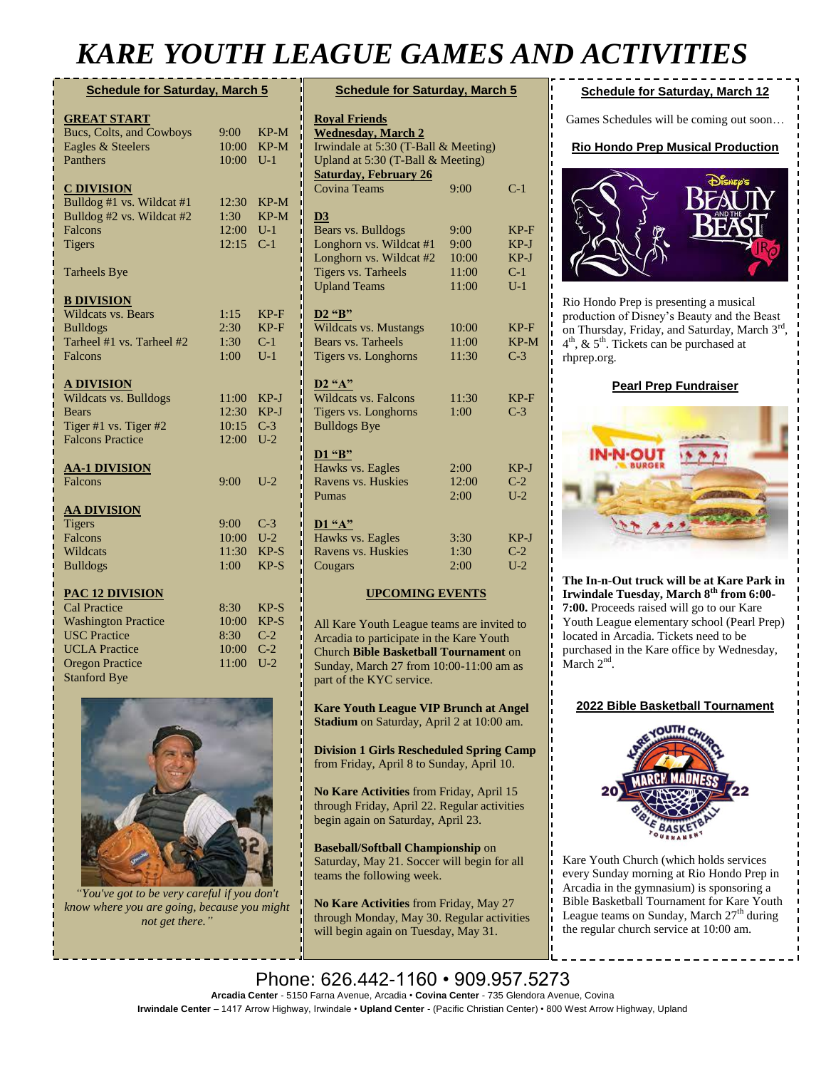# *KARE YOUTH LEAGUE GAMES AND ACTIVITIES*

| <b>Schedule for Saturday, March 5</b> |            |        |  |
|---------------------------------------|------------|--------|--|
| <b>GREAT START</b>                    |            |        |  |
| Bucs, Colts, and Cowboys              | $9:00^{-}$ | KP-M   |  |
| Eagles & Steelers                     | 10:00      | KP-M   |  |
| Panthers                              | 10:00      | $U-1$  |  |
|                                       |            |        |  |
| <b>C DIVISION</b>                     |            |        |  |
| Bulldog #1 vs. Wildcat #1             | 12:30      | KP-M   |  |
| Bulldog #2 vs. Wildcat #2             | 1:30       | $KP-M$ |  |
| Falcons                               | 12:00      | $U-1$  |  |
| <b>Tigers</b>                         | 12:15      | $C-1$  |  |
| <b>Tarheels Bye</b>                   |            |        |  |
| <b>B DIVISION</b>                     |            |        |  |
| <b>Wildcats vs. Bears</b>             | 1:15       | $KP-F$ |  |
| <b>Bulldogs</b>                       | 2:30       | $KP-F$ |  |
| Tarheel #1 vs. Tarheel #2             | 1:30       | $C-1$  |  |
| Falcons                               | 1:00       | $U-1$  |  |
|                                       |            |        |  |
| <b>A DIVISION</b>                     |            |        |  |
| Wildcats vs. Bulldogs                 | 11:00      | $KP-J$ |  |
| <b>Bears</b>                          | 12:30      | KP-J   |  |
| Tiger #1 vs. Tiger #2                 | 10:15      | $C-3$  |  |
| <b>Falcons Practice</b>               | 12:00      | $U-2$  |  |
| <b>AA-1 DIVISION</b>                  |            |        |  |
| <b>Falcons</b>                        | 9:00       | $U-2$  |  |
|                                       |            |        |  |
| <b>AA DIVISION</b>                    |            |        |  |
| <b>Tigers</b>                         | 9:00       | $C-3$  |  |
| Falcons                               | 10:00      | $U-2$  |  |
| Wildcats                              | 11:30      | $KP-S$ |  |
| <b>Bulldogs</b>                       | 1:00       | $KP-S$ |  |
| <b>PAC 12 DIVISION</b>                |            |        |  |
| <b>Cal Practice</b>                   | 8:30       | $KP-S$ |  |
| <b>Washington Practice</b>            | 10:00      | $KP-S$ |  |
| <b>USC Practice</b>                   | 8:30       | $C-2$  |  |
| <b>UCLA</b> Practice                  | 10:00      | $C-2$  |  |
| <b>Oregon Practice</b>                | 11:00      | $U-2$  |  |
| <b>Stanford Bye</b>                   |            |        |  |



*"You've got to be very careful if you don't know where you are going, because you might not get there."*

| <b>Schedule for Saturday, March 5</b>                             |              |                |  |
|-------------------------------------------------------------------|--------------|----------------|--|
| <b>Royal Friends</b>                                              |              |                |  |
| <b>Wednesday, March 2</b>                                         |              |                |  |
| Irwindale at 5:30 (T-Ball & Meeting)                              |              |                |  |
| Upland at 5:30 (T-Ball & Meeting)<br><b>Saturday, February 26</b> |              |                |  |
| <b>Covina Teams</b>                                               | 9:00         | $C-1$          |  |
| $\overline{D3}$                                                   |              |                |  |
| Bears vs. Bulldogs                                                | 9:00         | $KP-F$         |  |
| Longhorn vs. Wildcat #1                                           | 9:00         | $KP-J$         |  |
| Longhorn vs. Wildcat #2                                           | 10:00        | $KP-J$         |  |
| <b>Tigers vs. Tarheels</b>                                        | 11:00        | $C-1$          |  |
| <b>Upland Teams</b>                                               | 11:00        | $U-1$          |  |
|                                                                   |              |                |  |
| <b>D2</b> "B"                                                     |              |                |  |
| <b>Wildcats vs. Mustangs</b>                                      | 10:00        | $KP-F$         |  |
| Bears vs. Tarheels                                                | 11:00        | $KP-M$         |  |
| Tigers vs. Longhorns                                              | 11:30        | $C-3$          |  |
| $D2$ "A"                                                          |              |                |  |
| <b>Wildcats vs. Falcons</b>                                       | 11:30        | $KP-F$         |  |
| Tigers vs. Longhorns                                              | 1:00         | $C-3$          |  |
| <b>Bulldogs Bye</b>                                               |              |                |  |
|                                                                   |              |                |  |
| D1 "B"                                                            |              |                |  |
| Hawks vs. Eagles                                                  | 2:00         | $KP-J$         |  |
| Ravens vs. Huskies                                                | 12:00        | $C-2$          |  |
| Pumas                                                             | 2:00         | $U-2$          |  |
|                                                                   |              |                |  |
| D1 "A"                                                            |              |                |  |
| Hawks vs. Eagles<br>Ravens vs. Huskies                            | 3:30<br>1:30 | $KP-J$         |  |
| Cougars                                                           | 2:00         | $C-2$<br>$U-2$ |  |
|                                                                   |              |                |  |
| <b>UPCOMING EVENTS</b>                                            |              |                |  |

All Kare Youth League teams are invited to Arcadia to participate in the Kare Youth Church **Bible Basketball Tournament** on Sunday, March 27 from 10:00-11:00 am as part of the KYC service.

**Kare Youth League VIP Brunch at Angel Stadium** on Saturday, April 2 at 10:00 am.

**Division 1 Girls Rescheduled Spring Camp**  from Friday, April 8 to Sunday, April 10.

**No Kare Activities** from Friday, April 15 through Friday, April 22. Regular activities begin again on Saturday, April 23.

**Baseball/Softball Championship** on Saturday, May 21. Soccer will begin for all teams the following week.

**No Kare Activities** from Friday, May 27 through Monday, May 30. Regular activities will begin again on Tuesday, May 31.

### **Schedule for Saturday, March 12**

Games Schedules will be coming out soon…

### **Rio Hondo Prep Musical Production**



Rio Hondo Prep is presenting a musical production of Disney's Beauty and the Beast on Thursday, Friday, and Saturday, March 3<sup>rd</sup>, 4 th, & 5th. Tickets can be purchased at rhprep.org.

### **Pearl Prep Fundraiser**



**The In-n-Out truck will be at Kare Park in Irwindale Tuesday, March 8th from 6:00- 7:00.** Proceeds raised will go to our Kare Youth League elementary school (Pearl Prep) located in Arcadia. Tickets need to be purchased in the Kare office by Wednesday, March  $2<sup>nd</sup>$ .

#### **2022 Bible Basketball Tournament**



Kare Youth Church (which holds services every Sunday morning at Rio Hondo Prep in Arcadia in the gymnasium) is sponsoring a Bible Basketball Tournament for Kare Youth League teams on Sunday, March  $27<sup>th</sup>$  during the regular church service at 10:00 am.